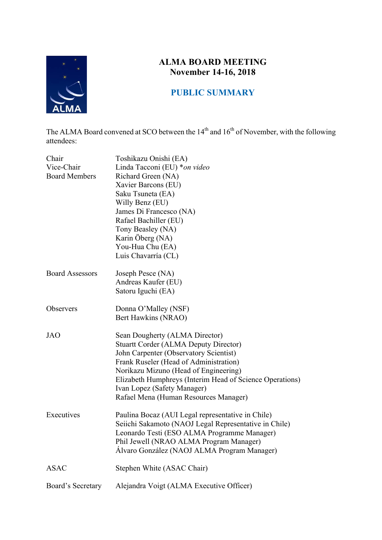

# **ALMA BOARD MEETING November 14-16, 2018**

## **PUBLIC SUMMARY**

The ALMA Board convened at SCO between the  $14<sup>th</sup>$  and  $16<sup>th</sup>$  of November, with the following attendees:

| Chair<br>Vice-Chair<br><b>Board Members</b> | Toshikazu Onishi (EA)<br>Linda Tacconi (EU) *on video<br>Richard Green (NA)<br>Xavier Barcons (EU)<br>Saku Tsuneta (EA)<br>Willy Benz (EU)<br>James Di Francesco (NA)<br>Rafael Bachiller (EU)<br>Tony Beasley (NA)<br>Karin Öberg (NA)<br>You-Hua Chu (EA)<br>Luis Chavarría (CL)                                                              |
|---------------------------------------------|-------------------------------------------------------------------------------------------------------------------------------------------------------------------------------------------------------------------------------------------------------------------------------------------------------------------------------------------------|
| <b>Board Assessors</b>                      | Joseph Pesce (NA)<br>Andreas Kaufer (EU)<br>Satoru Iguchi (EA)                                                                                                                                                                                                                                                                                  |
| Observers                                   | Donna O'Malley (NSF)<br>Bert Hawkins (NRAO)                                                                                                                                                                                                                                                                                                     |
| <b>JAO</b>                                  | Sean Dougherty (ALMA Director)<br><b>Stuartt Corder (ALMA Deputy Director)</b><br>John Carpenter (Observatory Scientist)<br>Frank Ruseler (Head of Administration)<br>Norikazu Mizuno (Head of Engineering)<br>Elizabeth Humphreys (Interim Head of Science Operations)<br>Ivan Lopez (Safety Manager)<br>Rafael Mena (Human Resources Manager) |
| Executives                                  | Paulina Bocaz (AUI Legal representative in Chile)<br>Seiichi Sakamoto (NAOJ Legal Representative in Chile)<br>Leonardo Testi (ESO ALMA Programme Manager)<br>Phil Jewell (NRAO ALMA Program Manager)<br>Álvaro González (NAOJ ALMA Program Manager)                                                                                             |
| <b>ASAC</b>                                 | Stephen White (ASAC Chair)                                                                                                                                                                                                                                                                                                                      |
| Board's Secretary                           | Alejandra Voigt (ALMA Executive Officer)                                                                                                                                                                                                                                                                                                        |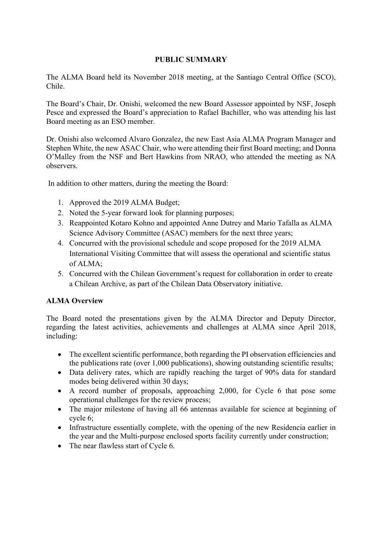### **PUBLIC SUMMARY**

The ALMA Board held its November 2018 meeting, at the Santiago Central Office (SCO), Chile.

The Board's Chair, Dr. Onishi, welcomed the new Board Assessor appointed by NSF, Joseph Pesce and expressed the Board's appreciation to Rafael Bachiller, who was attending his last Board meeting as an ESO member.

Dr. Onishi also welcomed Alvaro Gonzalez, the new East Asia ALMA Program Manager and Stephen White, the new ASAC Chair, who were attending their first Board meeting; and Donna O'Malley from the NSF and Bert Hawkins from NRAO, who attended the meeting as NA observers.

In addition to other matters, during the meeting the Board:

- 1. Approved the 2019 ALMA Budget;
- 2. Noted the 5-year forward look for planning purposes;
- 3. Reappointed Kotaro Kohno and appointed Anne Dutrey and Mario Tafalla as ALMA Science Advisory Committee (ASAC) members for the next three years;
- 4. Concurred with the provisional schedule and scope proposed for the 2019 ALMA International Visiting Committee that will assess the operational and scientific status of ALMA;
- 5. Concurred with the Chilean Government's request for collaboration in order to create a Chilean Archive, as part of the Chilean Data Observatory initiative.

#### **ALMA Overview**

The Board noted the presentations given by the ALMA Director and Deputy Director, regarding the latest activities, achievements and challenges at ALMA since April 2018, including:

- The excellent scientific performance, both regarding the PI observation efficiencies and the publications rate (over 1,000 publications), showing outstanding scientific results;
- Data delivery rates, which are rapidly reaching the target of 90% data for standard modes being delivered within 30 days;
- A record number of proposals, approaching 2,000, for Cycle 6 that pose some operational challenges for the review process;
- The major milestone of having all 66 antennas available for science at beginning of cycle 6;
- Infrastructure essentially complete, with the opening of the new Residencia earlier in the year and the Multi-purpose enclosed sports facility currently under construction;
- The near flawless start of Cycle 6.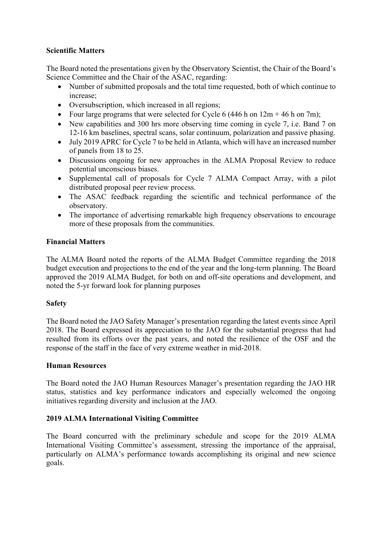#### **Scientific Matters**

The Board noted the presentations given by the Observatory Scientist, the Chair of the Board's Science Committee and the Chair of the ASAC, regarding:

- Number of submitted proposals and the total time requested, both of which continue to increase;
- Oversubscription, which increased in all regions;
- Four large programs that were selected for Cycle 6 (446 h on  $12m + 46$  h on 7m);
- New capabilities and 300 hrs more observing time coming in cycle 7, i.e. Band 7 on 12-16 km baselines, spectral scans, solar continuum, polarization and passive phasing.
- July 2019 APRC for Cycle 7 to be held in Atlanta, which will have an increased number of panels from 18 to 25.
- Discussions ongoing for new approaches in the ALMA Proposal Review to reduce potential unconscious biases.
- Supplemental call of proposals for Cycle 7 ALMA Compact Array, with a pilot distributed proposal peer review process.
- The ASAC feedback regarding the scientific and technical performance of the observatory.
- The importance of advertising remarkable high frequency observations to encourage more of these proposals from the communities.

#### **Financial Matters**

The ALMA Board noted the reports of the ALMA Budget Committee regarding the 2018 budget execution and projections to the end of the year and the long-term planning. The Board approved the 2019 ALMA Budget, for both on and off-site operations and development, and noted the 5-yr forward look for planning purposes

#### **Safety**

The Board noted the JAO Safety Manager's presentation regarding the latest events since April 2018. The Board expressed its appreciation to the JAO for the substantial progress that had resulted from its efforts over the past years, and noted the resilience of the OSF and the response of the staff in the face of very extreme weather in mid-2018.

#### **Human Resources**

The Board noted the JAO Human Resources Manager's presentation regarding the JAO HR status, statistics and key performance indicators and especially welcomed the ongoing initiatives regarding diversity and inclusion at the JAO.

#### **2019 ALMA International Visiting Committee**

The Board concurred with the preliminary schedule and scope for the 2019 ALMA International Visiting Committee's assessment, stressing the importance of the appraisal, particularly on ALMA's performance towards accomplishing its original and new science goals.